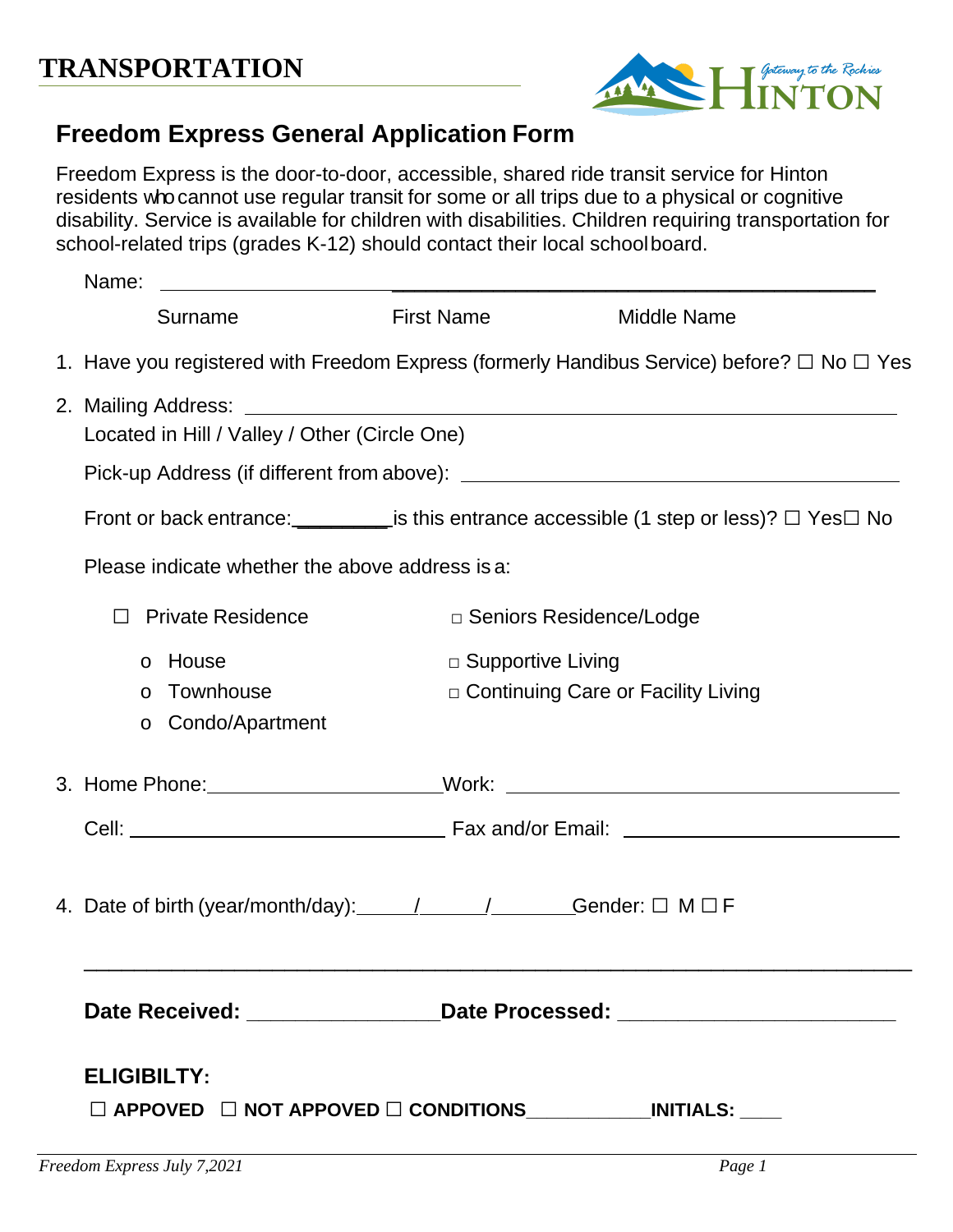

## **Freedom Express General Application Form**

Freedom Express is the door-to-door, accessible, shared ride transit service for Hinton residents whocannot use regular transit for some or all trips due to a physical or cognitive disability. Service is available for children with disabilities. Children requiring transportation for school-related trips (grades K-12) should contact their local schoolboard.

| Name:              | <u> 1989 - Johann Barn, amerikansk politiker (</u> |                                                                          |                                                                                                                 |
|--------------------|----------------------------------------------------|--------------------------------------------------------------------------|-----------------------------------------------------------------------------------------------------------------|
|                    | Surname                                            | <b>First Name</b>                                                        | <b>Middle Name</b>                                                                                              |
|                    |                                                    |                                                                          | 1. Have you registered with Freedom Express (formerly Handibus Service) before? □ No □ Yes                      |
|                    | Located in Hill / Valley / Other (Circle One)      |                                                                          |                                                                                                                 |
|                    |                                                    |                                                                          |                                                                                                                 |
|                    |                                                    |                                                                          | Front or back entrance: $\sqrt{\phantom{a}}$ is this entrance accessible (1 step or less)? $\Box$ Yes $\Box$ No |
|                    | Please indicate whether the above address is a:    |                                                                          |                                                                                                                 |
|                    | <b>Private Residence</b>                           | □ Seniors Residence/Lodge                                                |                                                                                                                 |
| House<br>$\circ$   |                                                    | $\Box$ Supportive Living                                                 |                                                                                                                 |
| $\circ$<br>$\circ$ | Townhouse<br>Condo/Apartment                       | Continuing Care or Facility Living                                       |                                                                                                                 |
|                    |                                                    |                                                                          |                                                                                                                 |
|                    |                                                    |                                                                          |                                                                                                                 |
|                    |                                                    | 4. Date of birth (year/month/day): 1. 1. 1. 1. Gender: $\Box$ M $\Box$ F |                                                                                                                 |
|                    |                                                    |                                                                          | Date Received: ________________________Date Processed: _________________________                                |
| <b>ELIGIBILTY:</b> |                                                    |                                                                          |                                                                                                                 |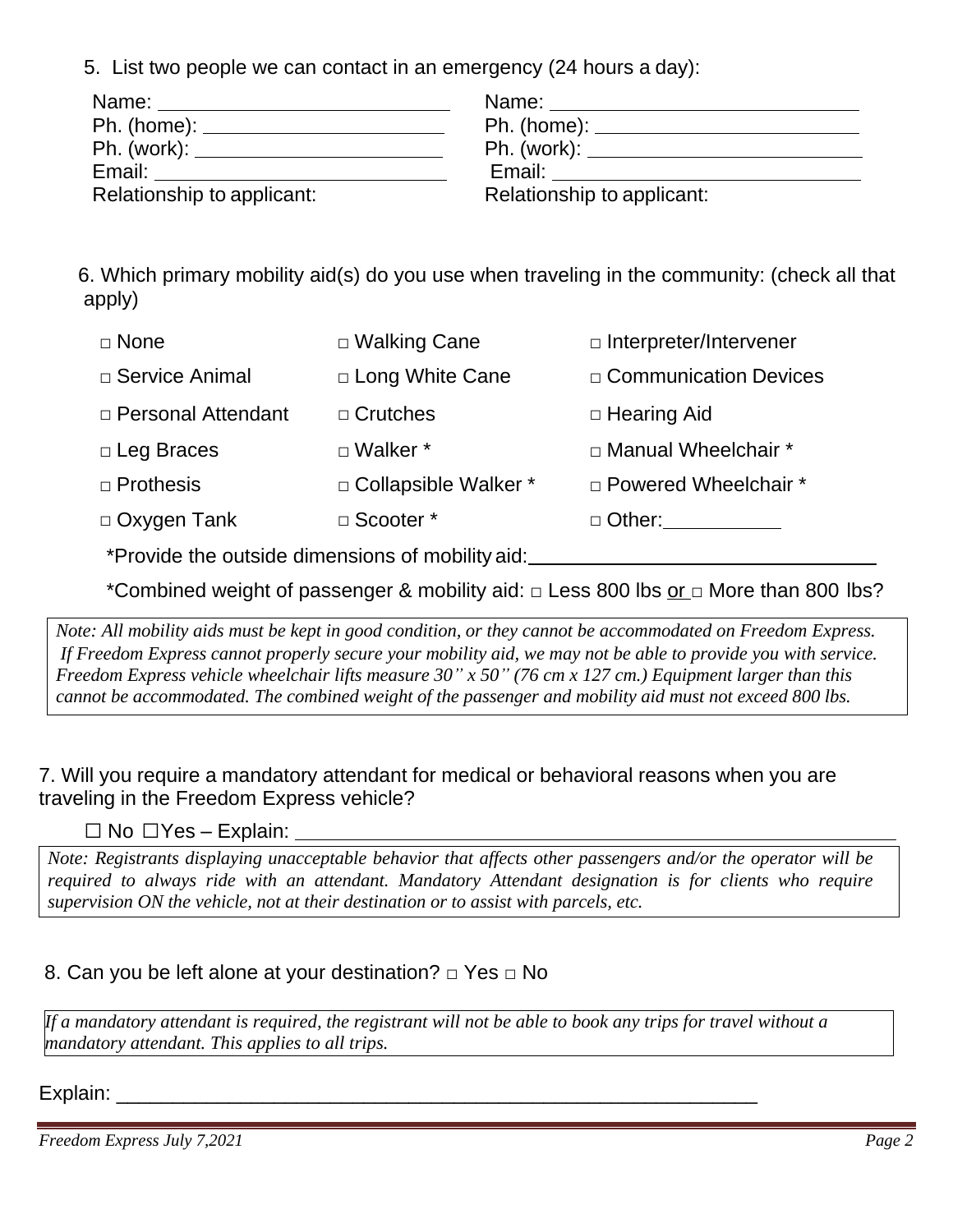5. List two people we can contact in an emergency (24 hours a day):

|                            | Ph. (work): _______________________________ |
|----------------------------|---------------------------------------------|
|                            |                                             |
| Relationship to applicant: | Relationship to applicant:                  |

 6. Which primary mobility aid(s) do you use when traveling in the community: (check all that apply)

| □ None                                           | □ Walking Cane         | $\Box$ Interpreter/Intervener |  |  |
|--------------------------------------------------|------------------------|-------------------------------|--|--|
| □ Service Animal                                 | □ Long White Cane      | $\Box$ Communication Devices  |  |  |
| □ Personal Attendant                             | $\Box$ Crutches        | □ Hearing Aid                 |  |  |
| $\Box$ Leg Braces                                | □ Walker *             | □ Manual Wheelchair *         |  |  |
| $\Box$ Prothesis                                 | □ Collapsible Walker * | □ Powered Wheelchair *        |  |  |
| $\Box$ Oxygen Tank                               | □ Scooter *            | $\Box$ Other:                 |  |  |
| *Provide the outside dimensions of mobility aid: |                        |                               |  |  |

\*Combined weight of passenger & mobility aid: □ Less 800 lbs or □ More than 800 lbs?

*Note: All mobility aids must be kept in good condition, or they cannot be accommodated on Freedom Express. If Freedom Express cannot properly secure your mobility aid, we may not be able to provide you with service.*  Freedom Express vehicle wheelchair lifts measure  $30''$  x  $50''$  (76 cm x 127 cm.) Equipment larger than this *cannot be accommodated. The combined weight of the passenger and mobility aid must not exceed 800 lbs.*

7. Will you require a mandatory attendant for medical or behavioral reasons when you are traveling in the Freedom Express vehicle?

**□** No **□**Yes – Explain:

*Note: Registrants displaying unacceptable behavior that affects other passengers and/or the operator will be required to always ride with an attendant. Mandatory Attendant designation is for clients who require supervision ON the vehicle, not at their destination or to assist with parcels, etc.*

## 8. Can you be left alone at your destination? **□** Yes **□** No

*If a mandatory attendant is required, the registrant will not be able to book any trips for travel without a mandatory attendant. This applies to all trips.*

Explain: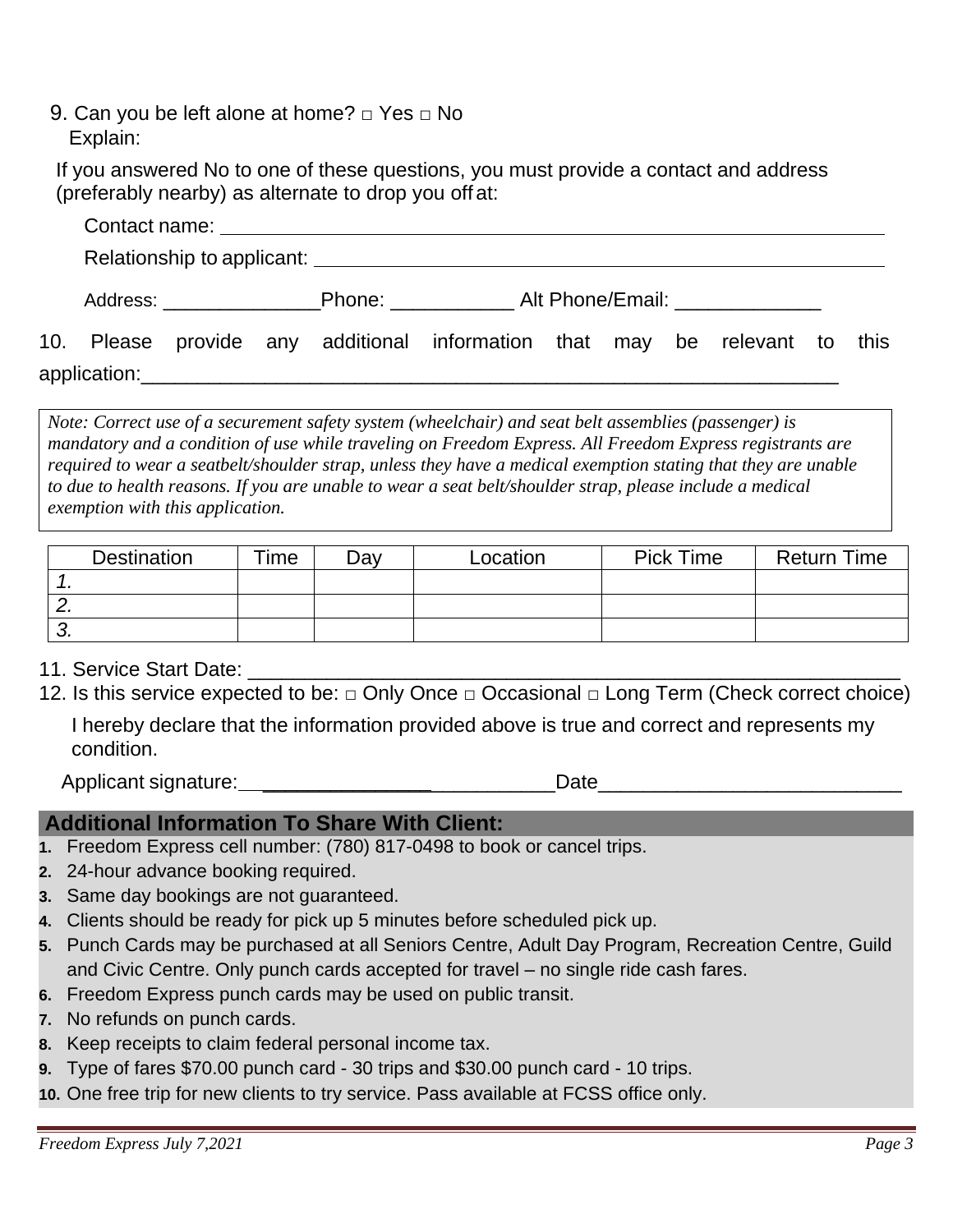9. Can you be left alone at home? **□** Yes **□** No Explain:

If you answered No to one of these questions, you must provide a contact and address (preferably nearby) as alternate to drop you off at:

|  |  | 10. Please provide any additional information that may be relevant to this |  |  |  |
|--|--|----------------------------------------------------------------------------|--|--|--|
|  |  |                                                                            |  |  |  |

*Note: Correct use of a securement safety system (wheelchair) and seat belt assemblies (passenger) is mandatory and a condition of use while traveling on Freedom Express. All Freedom Express registrants are required to wear a seatbelt/shoulder strap, unless they have a medical exemption stating that they are unable* to due to health reasons. If you are unable to wear a seat belt/shoulder strap, please include a medical *exemption with this application.*

| <b>Destination</b> | $\mathsf{Time}$ | Dav | Location | <b>Pick Time</b> | <b>Return Time</b> |
|--------------------|-----------------|-----|----------|------------------|--------------------|
| . .                |                 |     |          |                  |                    |
| <u>.</u>           |                 |     |          |                  |                    |
| J,                 |                 |     |          |                  |                    |

11. Service Start Date: **Letter** 

12. Is this service expected to be: **□** Only Once **□** Occasional **□** Long Term (Check correct choice)

I hereby declare that the information provided above is true and correct and represents my condition.

Applicant signature: \_\_\_\_\_\_\_\_\_\_\_\_\_\_\_\_\_\_\_\_\_\_\_\_\_\_Date\_\_\_\_\_\_\_\_\_\_\_\_\_\_\_\_\_\_\_\_\_\_\_\_\_\_\_

## **Additional Information To Share With Client:**

- **1.** Freedom Express cell number: (780) 817-0498 to book or cancel trips.
- **2.** 24-hour advance booking required.
- **3.** Same day bookings are not guaranteed.
- **4.** Clients should be ready for pick up 5 minutes before scheduled pick up.
- **5.** Punch Cards may be purchased at all Seniors Centre, Adult Day Program, Recreation Centre, Guild and Civic Centre. Only punch cards accepted for travel – no single ride cash fares.
- **6.** Freedom Express punch cards may be used on public transit.
- **7.** No refunds on punch cards.
- **8.** Keep receipts to claim federal personal income tax.
- **9.** Type of fares \$70.00 punch card 30 trips and \$30.00 punch card 10 trips.
- **10.** One free trip for new clients to try service. Pass available at FCSS office only.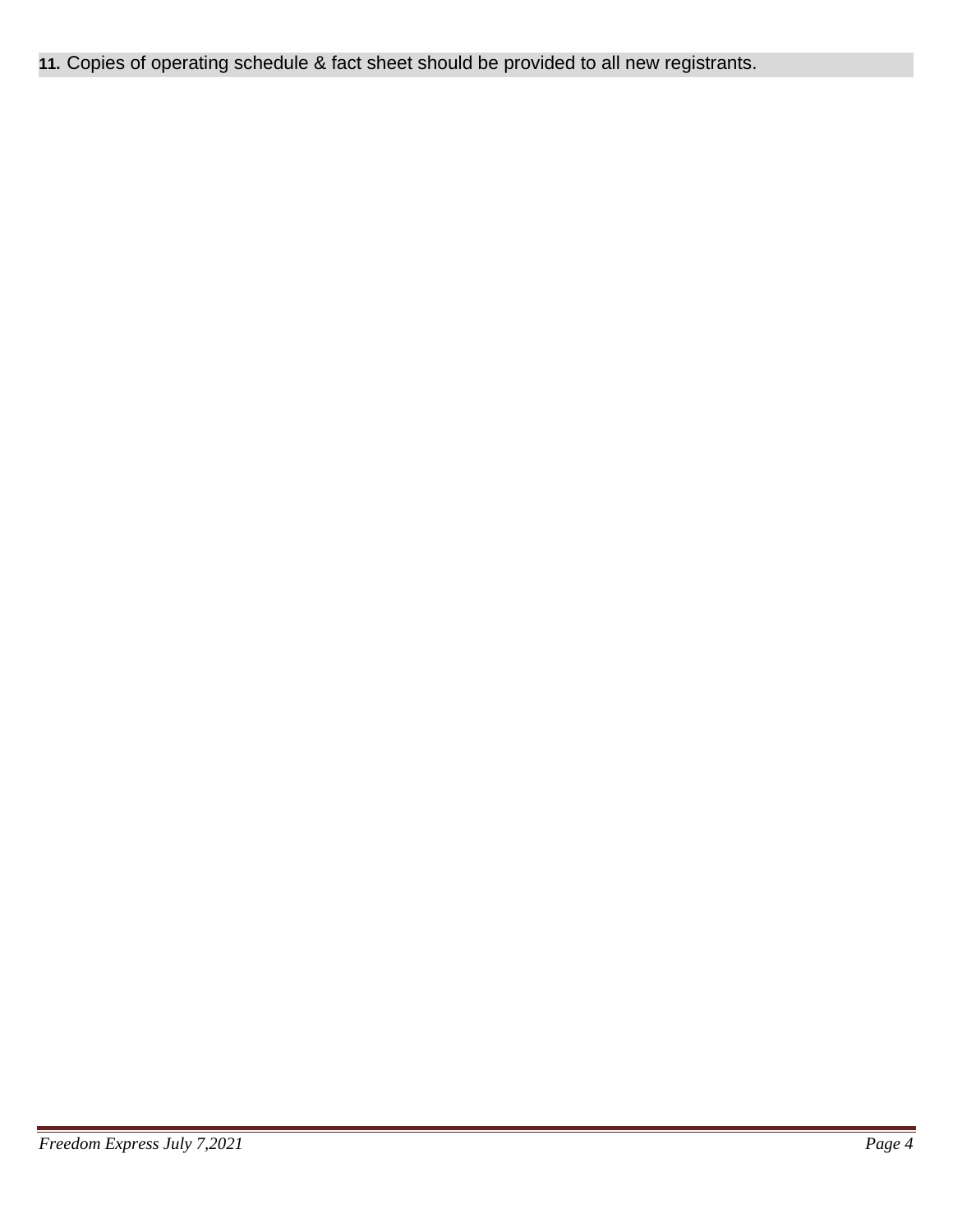**11.** Copies of operating schedule & fact sheet should be provided to all new registrants.